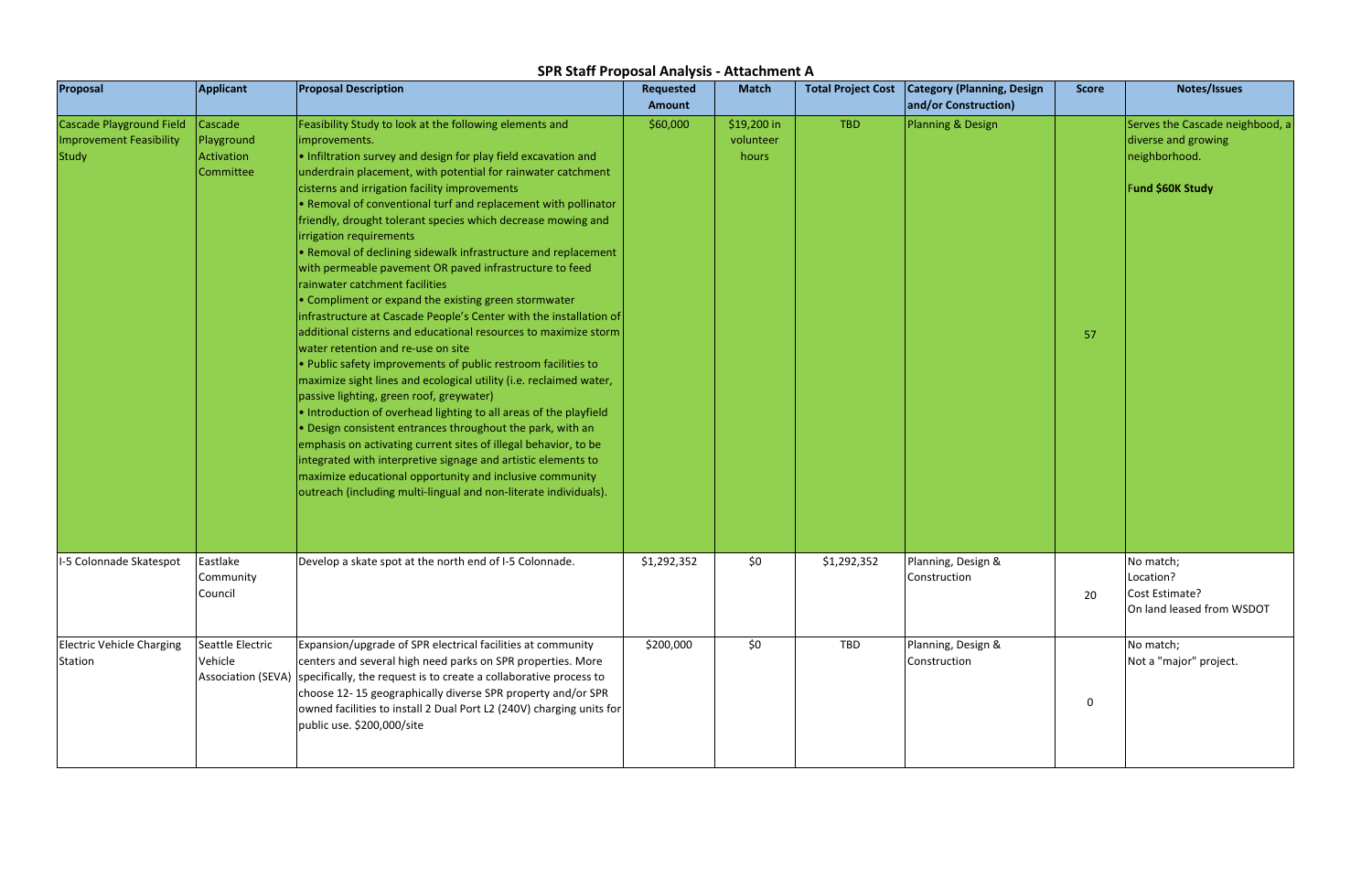| Proposal                                                                          | Applicant                                                | <b>Proposal Description</b>                                                                                                                                                                                                                                                                                                                                                                                                                                                                                                                                                                                                                                                                                                                                                                                                                                                                                                                                                                                                                                                                                                                                                                                                                                                                                                                                                                                              | <b>Requested</b><br>Amount | <b>Match</b>                      | <b>Total Project Cost</b> | <b>Category (Planning, Design</b><br>and/or Construction) | <b>Score</b> | Notes/Issues                                                                                       |
|-----------------------------------------------------------------------------------|----------------------------------------------------------|--------------------------------------------------------------------------------------------------------------------------------------------------------------------------------------------------------------------------------------------------------------------------------------------------------------------------------------------------------------------------------------------------------------------------------------------------------------------------------------------------------------------------------------------------------------------------------------------------------------------------------------------------------------------------------------------------------------------------------------------------------------------------------------------------------------------------------------------------------------------------------------------------------------------------------------------------------------------------------------------------------------------------------------------------------------------------------------------------------------------------------------------------------------------------------------------------------------------------------------------------------------------------------------------------------------------------------------------------------------------------------------------------------------------------|----------------------------|-----------------------------------|---------------------------|-----------------------------------------------------------|--------------|----------------------------------------------------------------------------------------------------|
| <b>Cascade Playground Field</b><br><b>Improvement Feasibility</b><br><b>Study</b> | Cascade<br>Playground<br>Activation<br>Committee         | Feasibility Study to look at the following elements and<br>improvements.<br>. Infiltration survey and design for play field excavation and<br>underdrain placement, with potential for rainwater catchment<br>cisterns and irrigation facility improvements<br>. Removal of conventional turf and replacement with pollinator<br>friendly, drought tolerant species which decrease mowing and<br>irrigation requirements<br>. Removal of declining sidewalk infrastructure and replacement<br>with permeable pavement OR paved infrastructure to feed<br>rainwater catchment facilities<br>• Compliment or expand the existing green stormwater<br>infrastructure at Cascade People's Center with the installation of<br>additional cisterns and educational resources to maximize storm<br>water retention and re-use on site<br>. Public safety improvements of public restroom facilities to<br>maximize sight lines and ecological utility (i.e. reclaimed water,<br>passive lighting, green roof, greywater)<br>. Introduction of overhead lighting to all areas of the playfield<br>• Design consistent entrances throughout the park, with an<br>emphasis on activating current sites of illegal behavior, to be<br>integrated with interpretive signage and artistic elements to<br>maximize educational opportunity and inclusive community<br>outreach (including multi-lingual and non-literate individuals). | \$60,000                   | \$19,200 in<br>volunteer<br>hours | <b>TBD</b>                | Planning & Design                                         | 57           | Serves the Cascade neighbood, a<br>diverse and growing<br>neighborhood.<br><b>Fund \$60K Study</b> |
| I-5 Colonnade Skatespot                                                           | Eastlake<br>Community<br>Council                         | Develop a skate spot at the north end of I-5 Colonnade.                                                                                                                                                                                                                                                                                                                                                                                                                                                                                                                                                                                                                                                                                                                                                                                                                                                                                                                                                                                                                                                                                                                                                                                                                                                                                                                                                                  | \$1,292,352                | \$0                               | \$1,292,352               | Planning, Design &<br>Construction                        | 20           | No match;<br>Location?<br>Cost Estimate?<br>On land leased from WSDOT                              |
| <b>Electric Vehicle Charging</b><br>Station                                       | Seattle Electric<br>Vehicle<br><b>Association (SEVA)</b> | Expansion/upgrade of SPR electrical facilities at community<br>centers and several high need parks on SPR properties. More<br>specifically, the request is to create a collaborative process to<br>choose 12-15 geographically diverse SPR property and/or SPR<br>owned facilities to install 2 Dual Port L2 (240V) charging units for<br>public use. \$200,000/site                                                                                                                                                                                                                                                                                                                                                                                                                                                                                                                                                                                                                                                                                                                                                                                                                                                                                                                                                                                                                                                     | \$200,000                  | \$0                               | TBD                       | Planning, Design &<br>Construction                        | $\mathbf 0$  | No match;<br>Not a "major" project.                                                                |

## SPR Staff Proposal Analysis - Attachment A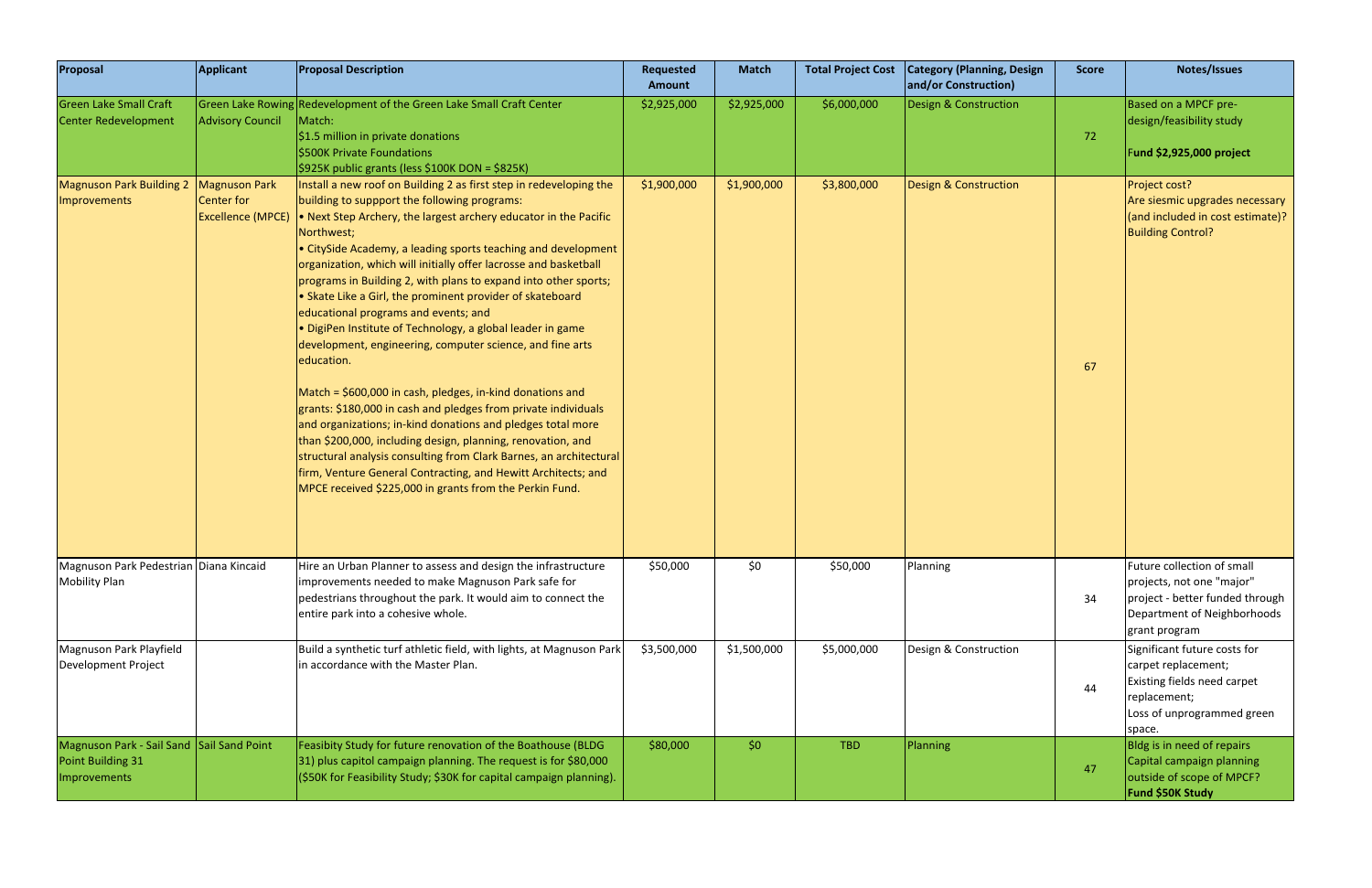| Proposal                                                                       | <b>Applicant</b>                                        | <b>Proposal Description</b>                                                                                                                                                                                                                                                                                                                                                                                                                                                                                                                                                                                                                                                                                                                                                                                                                                                                                                                                                                                                                                                                                               | <b>Requested</b><br><b>Amount</b> | <b>Match</b> | <b>Total Project Cost</b> | <b>Category (Planning, Design</b><br>and/or Construction) | <b>Score</b> | Notes/Issues                                                                                                                               |
|--------------------------------------------------------------------------------|---------------------------------------------------------|---------------------------------------------------------------------------------------------------------------------------------------------------------------------------------------------------------------------------------------------------------------------------------------------------------------------------------------------------------------------------------------------------------------------------------------------------------------------------------------------------------------------------------------------------------------------------------------------------------------------------------------------------------------------------------------------------------------------------------------------------------------------------------------------------------------------------------------------------------------------------------------------------------------------------------------------------------------------------------------------------------------------------------------------------------------------------------------------------------------------------|-----------------------------------|--------------|---------------------------|-----------------------------------------------------------|--------------|--------------------------------------------------------------------------------------------------------------------------------------------|
| <b>Green Lake Small Craft</b><br>Center Redevelopment                          | <b>Advisory Council</b>                                 | Green Lake Rowing Redevelopment of the Green Lake Small Craft Center<br>Match:<br>\$1.5 million in private donations<br>\$500K Private Foundations<br>\$925K public grants (less \$100K DON = \$825K)                                                                                                                                                                                                                                                                                                                                                                                                                                                                                                                                                                                                                                                                                                                                                                                                                                                                                                                     | \$2,925,000                       | \$2,925,000  | \$6,000,000               | Design & Construction                                     | 72           | Based on a MPCF pre-<br>design/feasibility study<br>Fund \$2,925,000 project                                                               |
| <b>Magnuson Park Building 2</b><br><b>Improvements</b>                         | Magnuson Park<br>Center for<br><b>Excellence (MPCE)</b> | Install a new roof on Building 2 as first step in redeveloping the<br>building to suppport the following programs:<br>. Next Step Archery, the largest archery educator in the Pacific<br>Northwest;<br>• CitySide Academy, a leading sports teaching and development<br>organization, which will initially offer lacrosse and basketball<br>programs in Building 2, with plans to expand into other sports;<br>• Skate Like a Girl, the prominent provider of skateboard<br>educational programs and events; and<br>· DigiPen Institute of Technology, a global leader in game<br>development, engineering, computer science, and fine arts<br>education.<br>Match = \$600,000 in cash, pledges, in-kind donations and<br>grants: \$180,000 in cash and pledges from private individuals<br>and organizations; in-kind donations and pledges total more<br>than \$200,000, including design, planning, renovation, and<br>structural analysis consulting from Clark Barnes, an architectural<br>firm, Venture General Contracting, and Hewitt Architects; and<br>MPCE received \$225,000 in grants from the Perkin Fund. | \$1,900,000                       | \$1,900,000  | \$3,800,000               | Design & Construction                                     | 67           | Project cost?<br>Are siesmic upgrades necessary<br>(and included in cost estimate)?<br><b>Building Control?</b>                            |
| Magnuson Park Pedestrian Diana Kincaid<br><b>Mobility Plan</b>                 |                                                         | Hire an Urban Planner to assess and design the infrastructure<br>improvements needed to make Magnuson Park safe for<br>pedestrians throughout the park. It would aim to connect the<br>entire park into a cohesive whole.                                                                                                                                                                                                                                                                                                                                                                                                                                                                                                                                                                                                                                                                                                                                                                                                                                                                                                 | \$50,000                          | \$0          | \$50,000                  | Planning                                                  | 34           | Future collection of small<br>projects, not one "major"<br>project - better funded through<br>Department of Neighborhoods<br>grant program |
| Magnuson Park Playfield<br>Development Project                                 |                                                         | Build a synthetic turf athletic field, with lights, at Magnuson Park<br>in accordance with the Master Plan.                                                                                                                                                                                                                                                                                                                                                                                                                                                                                                                                                                                                                                                                                                                                                                                                                                                                                                                                                                                                               | \$3,500,000                       | \$1,500,000  | \$5,000,000               | Design & Construction                                     | 44           | Significant future costs for<br>carpet replacement;<br>Existing fields need carpet<br>replacement;<br>Loss of unprogrammed green<br>space. |
| Magnuson Park - Sail Sand Sail Sand Point<br>Point Building 31<br>Improvements |                                                         | Feasibity Study for future renovation of the Boathouse (BLDG<br>31) plus capitol campaign planning. The request is for \$80,000<br>(\$50K for Feasibility Study; \$30K for capital campaign planning).                                                                                                                                                                                                                                                                                                                                                                                                                                                                                                                                                                                                                                                                                                                                                                                                                                                                                                                    | \$80,000                          | \$0          | <b>TBD</b>                | Planning                                                  | 47           | Bldg is in need of repairs<br>Capital campaign planning<br>outside of scope of MPCF?<br>Fund \$50K Study                                   |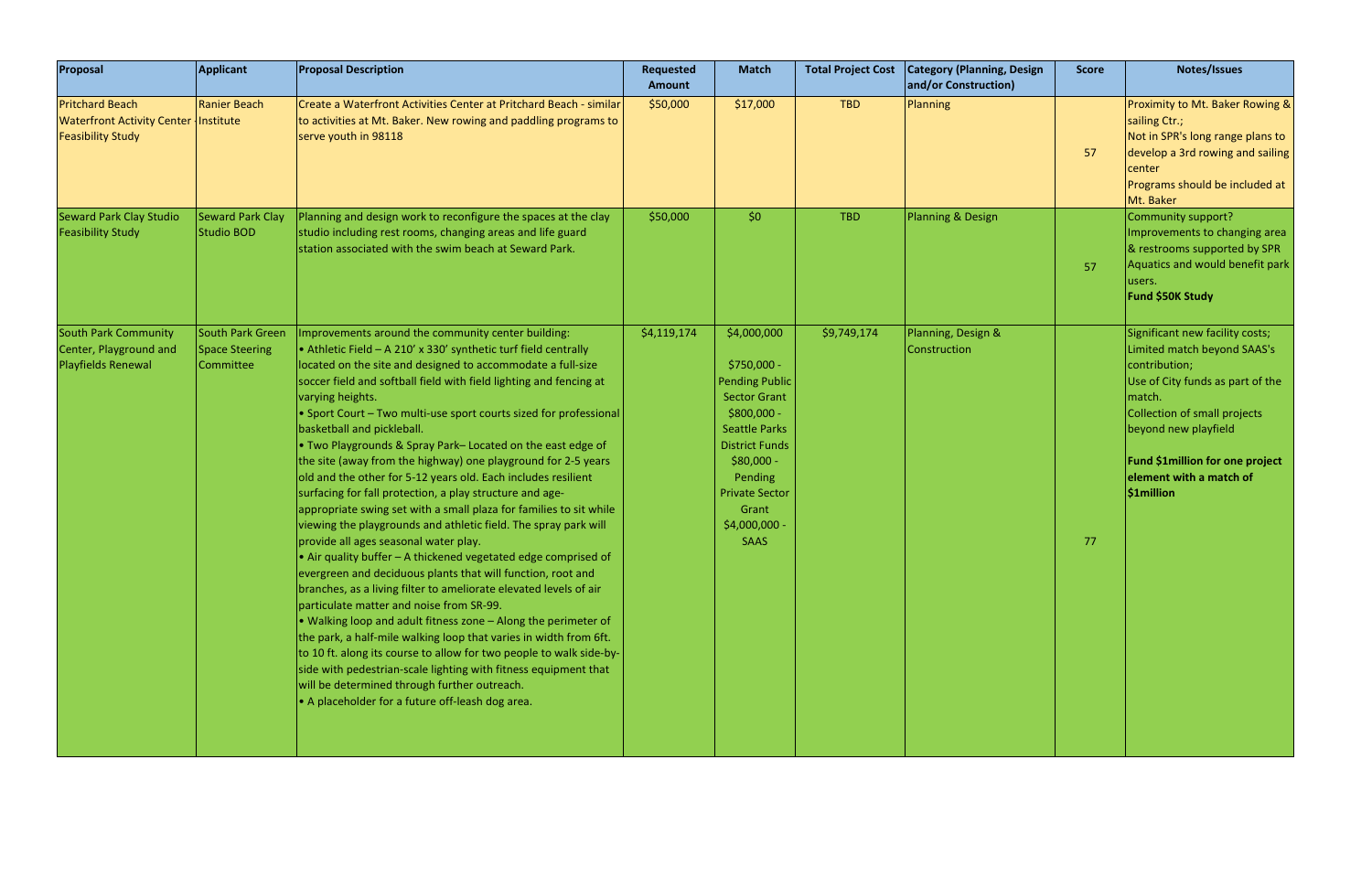| Proposal                                                                                          | Applicant                                              | <b>Proposal Description</b>                                                                                                                                                                                                                                                                                                                                                                                                                                                                                                                                                                                                                                                                                                                                                                                                                                                                                                                                                                                                                                                                                                                                                                                                                                                                                                                                                                                                                                                          | Requested<br><b>Amount</b> | <b>Match</b>                                                                                                                                                                                                                          | <b>Total Project Cost</b> | <b>Category (Planning, Design)</b><br>and/or Construction) | <b>Score</b> | Notes/Issues                                                                                                                                                                                                                                                             |
|---------------------------------------------------------------------------------------------------|--------------------------------------------------------|--------------------------------------------------------------------------------------------------------------------------------------------------------------------------------------------------------------------------------------------------------------------------------------------------------------------------------------------------------------------------------------------------------------------------------------------------------------------------------------------------------------------------------------------------------------------------------------------------------------------------------------------------------------------------------------------------------------------------------------------------------------------------------------------------------------------------------------------------------------------------------------------------------------------------------------------------------------------------------------------------------------------------------------------------------------------------------------------------------------------------------------------------------------------------------------------------------------------------------------------------------------------------------------------------------------------------------------------------------------------------------------------------------------------------------------------------------------------------------------|----------------------------|---------------------------------------------------------------------------------------------------------------------------------------------------------------------------------------------------------------------------------------|---------------------------|------------------------------------------------------------|--------------|--------------------------------------------------------------------------------------------------------------------------------------------------------------------------------------------------------------------------------------------------------------------------|
| <b>Pritchard Beach</b><br><b>Waterfront Activity Center Institute</b><br><b>Feasibility Study</b> | Ranier Beach                                           | Create a Waterfront Activities Center at Pritchard Beach - similar<br>to activities at Mt. Baker. New rowing and paddling programs to<br>serve youth in 98118                                                                                                                                                                                                                                                                                                                                                                                                                                                                                                                                                                                                                                                                                                                                                                                                                                                                                                                                                                                                                                                                                                                                                                                                                                                                                                                        | \$50,000                   | \$17,000                                                                                                                                                                                                                              | <b>TBD</b>                | Planning                                                   | 57           | Proximity to Mt. Baker Rowing &<br>sailing Ctr.;<br>Not in SPR's long range plans to<br>develop a 3rd rowing and sailing<br>center<br>Programs should be included at<br>Mt. Baker                                                                                        |
| <b>Seward Park Clay Studio</b><br><b>Feasibility Study</b>                                        | Seward Park Clay<br>Studio BOD                         | Planning and design work to reconfigure the spaces at the clay<br>studio including rest rooms, changing areas and life guard<br>station associated with the swim beach at Seward Park.                                                                                                                                                                                                                                                                                                                                                                                                                                                                                                                                                                                                                                                                                                                                                                                                                                                                                                                                                                                                                                                                                                                                                                                                                                                                                               | \$50,000                   | \$0\$                                                                                                                                                                                                                                 | <b>TBD</b>                | Planning & Design                                          | 57           | Community support?<br>Improvements to changing area<br>& restrooms supported by SPR<br>Aquatics and would benefit park<br>users.<br>Fund \$50K Study                                                                                                                     |
| <b>South Park Community</b><br>Center, Playground and<br><b>Playfields Renewal</b>                | South Park Green<br><b>Space Steering</b><br>Committee | Improvements around the community center building:<br>• Athletic Field $-$ A 210' x 330' synthetic turf field centrally<br>located on the site and designed to accommodate a full-size<br>soccer field and softball field with field lighting and fencing at<br>varying heights.<br>• Sport Court - Two multi-use sport courts sized for professional<br>basketball and pickleball.<br>. Two Playgrounds & Spray Park-Located on the east edge of<br>the site (away from the highway) one playground for 2-5 years<br>old and the other for 5-12 years old. Each includes resilient<br>surfacing for fall protection, a play structure and age-<br>appropriate swing set with a small plaza for families to sit while<br>viewing the playgrounds and athletic field. The spray park will<br>provide all ages seasonal water play.<br>• Air quality buffer $-$ A thickened vegetated edge comprised of<br>evergreen and deciduous plants that will function, root and<br>branches, as a living filter to ameliorate elevated levels of air<br>particulate matter and noise from SR-99.<br>$\bullet$ Walking loop and adult fitness zone $-$ Along the perimeter of<br>the park, a half-mile walking loop that varies in width from 6ft.<br>to 10 ft. along its course to allow for two people to walk side-by-<br>side with pedestrian-scale lighting with fitness equipment that<br>will be determined through further outreach.<br>• A placeholder for a future off-leash dog area. | \$4,119,174                | \$4,000,000<br>\$750,000 -<br><b>Pending Public</b><br><b>Sector Grant</b><br>$$800,000 -$<br><b>Seattle Parks</b><br><b>District Funds</b><br>$$80,000 -$<br>Pending<br><b>Private Sector</b><br>Grant<br>\$4,000,000<br><b>SAAS</b> | \$9,749,174               | Planning, Design &<br><b>Construction</b>                  | 77           | Significant new facility costs;<br>Limited match beyond SAAS's<br>contribution;<br>Use of City funds as part of the<br>match.<br><b>Collection of small projects</b><br>beyond new playfield<br>Fund \$1million for one project<br>element with a match of<br>\$1million |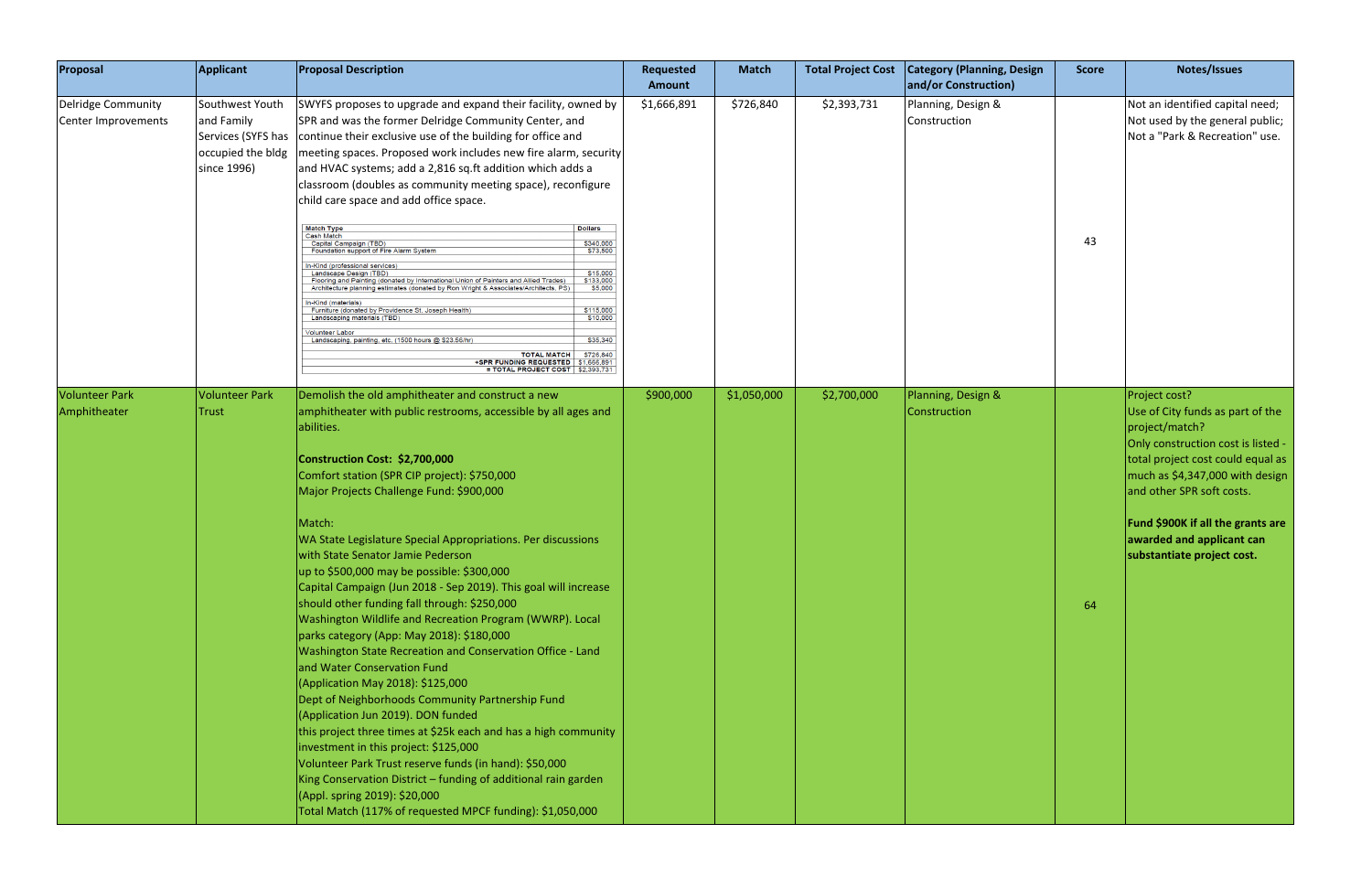| Proposal                                  | <b>Applicant</b>                                                                        | <b>Proposal Description</b>                                                                                                                                                                                                                                                                                                                                                                                                                                                                                                                                                                                                                                                                                                                                                                                                                                                                                                                                                                                                                                                                                                                                                                                                         | Requested<br>Amount | <b>Match</b> | <b>Total Project Cost</b> | <b>Category (Planning, Design</b><br>and/or Construction) | <b>Score</b> | Notes/Issues                                                                                                                                                                                                                                                                                                          |
|-------------------------------------------|-----------------------------------------------------------------------------------------|-------------------------------------------------------------------------------------------------------------------------------------------------------------------------------------------------------------------------------------------------------------------------------------------------------------------------------------------------------------------------------------------------------------------------------------------------------------------------------------------------------------------------------------------------------------------------------------------------------------------------------------------------------------------------------------------------------------------------------------------------------------------------------------------------------------------------------------------------------------------------------------------------------------------------------------------------------------------------------------------------------------------------------------------------------------------------------------------------------------------------------------------------------------------------------------------------------------------------------------|---------------------|--------------|---------------------------|-----------------------------------------------------------|--------------|-----------------------------------------------------------------------------------------------------------------------------------------------------------------------------------------------------------------------------------------------------------------------------------------------------------------------|
| Delridge Community<br>Center Improvements | Southwest Youth<br>and Family<br>Services (SYFS has<br>occupied the bldg<br>since 1996) | SWYFS proposes to upgrade and expand their facility, owned by<br>SPR and was the former Delridge Community Center, and<br>continue their exclusive use of the building for office and<br>meeting spaces. Proposed work includes new fire alarm, security<br>and HVAC systems; add a 2,816 sq.ft addition which adds a<br>classroom (doubles as community meeting space), reconfigure<br>child care space and add office space.<br><b>Match Type</b><br><b>Dollars</b><br><b>Cash Match</b><br>\$340,000<br>Capital Campaign (TBD)<br>\$73,500<br>Foundation support of Fire Alarm System<br>r-Kind (professional services)<br>Landscape Design (TBD)<br>\$15,000<br>\$133,000<br>Flooring and Painting (donated by International Union of Painters and Allied Trades)<br>\$5,000<br>Architecture planning estimates (donated by Ron Wright & Associates/Architects, PS)<br>In-Kind (materials)<br>\$115,000<br>Furniture (donated by Providence St. Joseph Health)<br>Landscaping materials (TBD<br>\$10,000<br>olunteer Labor<br>\$35,340<br>Landscaping, painting, etc. (1500 hours @ \$23.56/hr)<br><b>TOTAL MATCH</b><br>\$726,840<br>+SPR FUNDING REQUESTED \$1,666,891<br>$=$ TOTAL PROJECT COST $\left  \right $ \$2,393,731 | \$1,666,891         | \$726,840    | \$2,393,731               | Planning, Design &<br>Construction                        | 43           | Not an identified capital need;<br>Not used by the general public;<br>Not a "Park & Recreation" use.                                                                                                                                                                                                                  |
| <b>Volunteer Park</b><br>Amphitheater     | <b>Volunteer Park</b><br>Trust                                                          | Demolish the old amphitheater and construct a new<br>amphitheater with public restrooms, accessible by all ages and<br>abilities.<br>Construction Cost: \$2,700,000<br>Comfort station (SPR CIP project): \$750,000<br>Major Projects Challenge Fund: \$900,000<br>Match:<br>WA State Legislature Special Appropriations. Per discussions<br>with State Senator Jamie Pederson<br>up to \$500,000 may be possible: \$300,000<br>Capital Campaign (Jun 2018 - Sep 2019). This goal will increase<br>should other funding fall through: \$250,000<br>Washington Wildlife and Recreation Program (WWRP). Local<br>parks category (App: May 2018): \$180,000<br>Washington State Recreation and Conservation Office - Land<br>and Water Conservation Fund<br>(Application May 2018): \$125,000<br>Dept of Neighborhoods Community Partnership Fund<br>(Application Jun 2019). DON funded<br>this project three times at \$25k each and has a high community<br>investment in this project: \$125,000<br>Volunteer Park Trust reserve funds (in hand): \$50,000<br>King Conservation District - funding of additional rain garden<br>(Appl. spring 2019): \$20,000<br>Total Match (117% of requested MPCF funding): \$1,050,000          | \$900,000           | \$1,050,000  | \$2,700,000               | Planning, Design &<br>Construction                        | 64           | Project cost?<br>Use of City funds as part of the<br>project/match?<br>Only construction cost is listed -<br>total project cost could equal as<br>much as \$4,347,000 with design<br>and other SPR soft costs.<br><b>Fund \$900K if all the grants are</b><br>awarded and applicant can<br>substantiate project cost. |